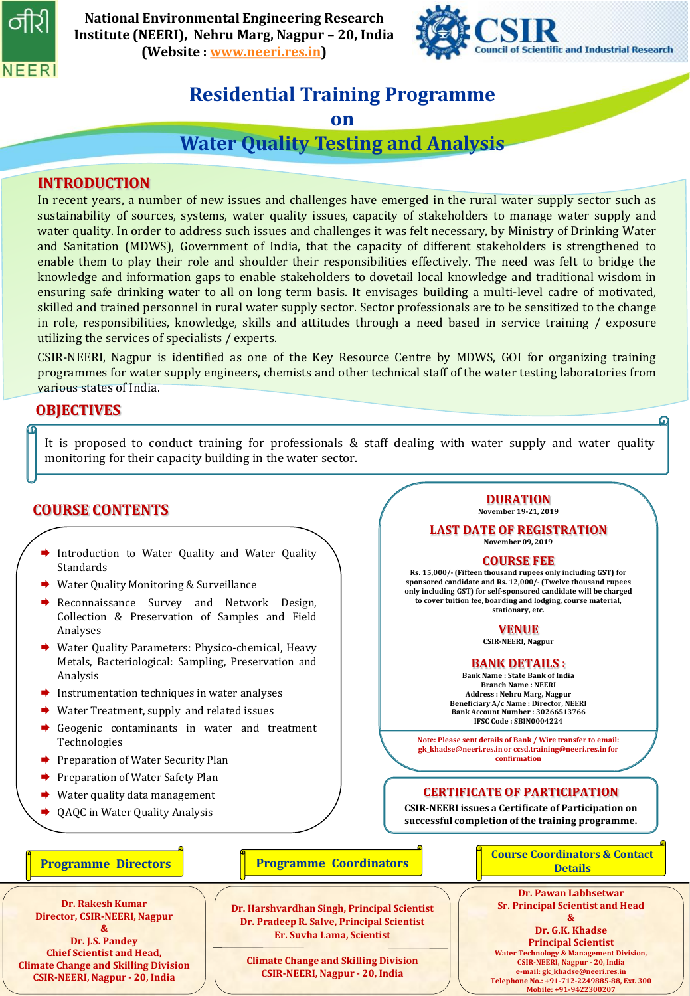

**National Environmental Engineering Research Institute (NEERI), Nehru Marg, Nagpur – 20, India (Website : [www.neeri.res.in\)](http://www.neeri.res.in/)**



**DURATION November 19-21, 2019 LAST DATE OF REGISTRATION November 09, 2019 COURSE FEE Rs. 15,000/- (Fifteen thousand rupees only including GST) for sponsored candidate and Rs. 12,000/- (Twelve thousand rupees only including GST) for self-sponsored candidate will be charged to cover tuition fee, boarding and lodging, course material, stationary, etc. VENUE CSIR-NEERI, Nagpur BANK DETAILS : Bank Name : State Bank of India Branch Name : NEERI Address : Nehru Marg, Nagpur Beneficiary A/c Name : Director, NEERI Bank Account Number : 30266513766 IFSC Code : SBIN0004224 Note: Please sent details of Bank / Wire transfer to email: gk\_khadse@neeri.res.in or ccsd.training@neeri.res.in for confirmation**

**CERTIFICATE OF PARTICIPATION CSIR-NEERI issues a Certificate of Participation on successful completion of the training programme.** 

## **Residential Training Programme**

**on** 

**Water Quality Testing and Analysis**

### **INTRODUCTION**

In recent years, a number of new issues and challenges have emerged in the rural water supply sector such as sustainability of sources, systems, water quality issues, capacity of stakeholders to manage water supply and water quality. In order to address such issues and challenges it was felt necessary, by Ministry of Drinking Water and Sanitation (MDWS), Government of India, that the capacity of different stakeholders is strengthened to enable them to play their role and shoulder their responsibilities effectively. The need was felt to bridge the knowledge and information gaps to enable stakeholders to dovetail local knowledge and traditional wisdom in ensuring safe drinking water to all on long term basis. It envisages building a multi-level cadre of motivated, skilled and trained personnel in rural water supply sector. Sector professionals are to be sensitized to the change in role, responsibilities, knowledge, skills and attitudes through a need based in service training / exposure utilizing the services of specialists / experts.

CSIR-NEERI, Nagpur is identified as one of the Key Resource Centre by MDWS, GOI for organizing training programmes for water supply engineers, chemists and other technical staff of the water testing laboratories from various states of India.

## **OBJECTIVES**

It is proposed to conduct training for professionals & staff dealing with water supply and water quality monitoring for their capacity building in the water sector.

## **COURSE CONTENTS**

- Introduction to Water Quality and Water Quality Standards
- **→** Water Quality Monitoring & Surveillance
- Reconnaissance Survey and Network Design, Collection & Preservation of Samples and Field Analyses
- ◆ Water Quality Parameters: Physico-chemical, Heavy Metals, Bacteriological: Sampling, Preservation and Analysis
- $\rightarrow$  Instrumentation techniques in water analyses
- Water Treatment, supply and related issues
- Geogenic contaminants in water and treatment Technologies
- Preparation of Water Security Plan
- Preparation of Water Safety Plan
- Water quality data management
- QAQC in Water Quality Analysis

#### **Programme Directors Details Programme Coordinators Details Details**

**Dr. Rakesh Kumar Director, CSIR-NEERI, Nagpur &**

**Dr. J.S. Pandey Chief Scientist and Head, Climate Change and Skilling Division CSIR-NEERI, Nagpur - 20, India**

#### **Programme Coordinators**

**Dr. Harshvardhan Singh, Principal Scientist Dr. Pradeep R. Salve, Principal Scientist Er. Suvha Lama, Scientist**

**Climate Change and Skilling Division CSIR-NEERI, Nagpur - 20, India**

**Course Coordinators & Contact** 

**Dr. Pawan Labhsetwar Sr. Principal Scientist and Head** 

**&**

**CSIR-NEERI, Nagpur - 20, India**<br>
Telephone No.: +91-712-2249885-88, Ext. 300<br>
Mobile: +91-9422300207 **Dr. G.K. Khadse Principal Scientist Water Technology & Management Division, CSIR-NEERI, Nagpur - 20, India e-mail: gk\_khadse@neeri.res.in Mobile: +91-9422300207**